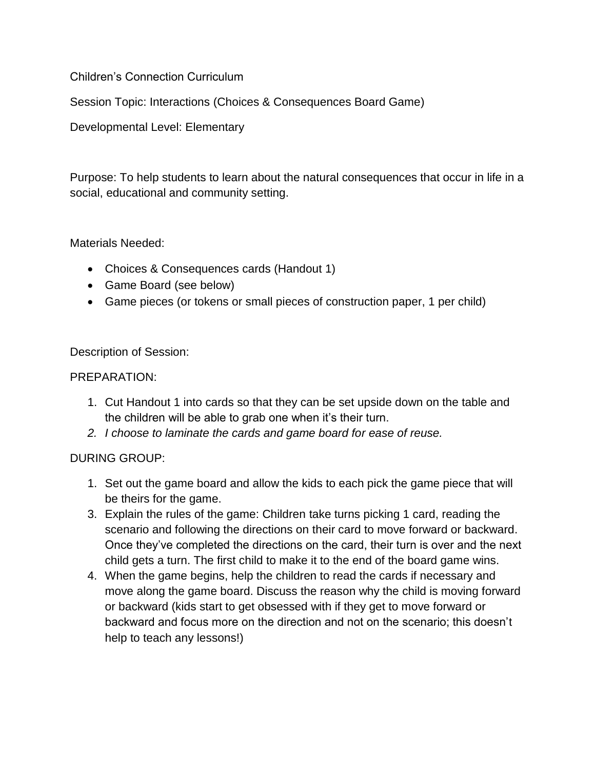Children's Connection Curriculum

Session Topic: Interactions (Choices & Consequences Board Game)

Developmental Level: Elementary

Purpose: To help students to learn about the natural consequences that occur in life in a social, educational and community setting.

Materials Needed:

- Choices & Consequences cards (Handout 1)
- Game Board (see below)
- Game pieces (or tokens or small pieces of construction paper, 1 per child)

Description of Session:

## PREPARATION:

- 1. Cut Handout 1 into cards so that they can be set upside down on the table and the children will be able to grab one when it's their turn.
- *2. I choose to laminate the cards and game board for ease of reuse.*

## DURING GROUP:

- 1. Set out the game board and allow the kids to each pick the game piece that will be theirs for the game.
- 3. Explain the rules of the game: Children take turns picking 1 card, reading the scenario and following the directions on their card to move forward or backward. Once they've completed the directions on the card, their turn is over and the next child gets a turn. The first child to make it to the end of the board game wins.
- 4. When the game begins, help the children to read the cards if necessary and move along the game board. Discuss the reason why the child is moving forward or backward (kids start to get obsessed with if they get to move forward or backward and focus more on the direction and not on the scenario; this doesn't help to teach any lessons!)